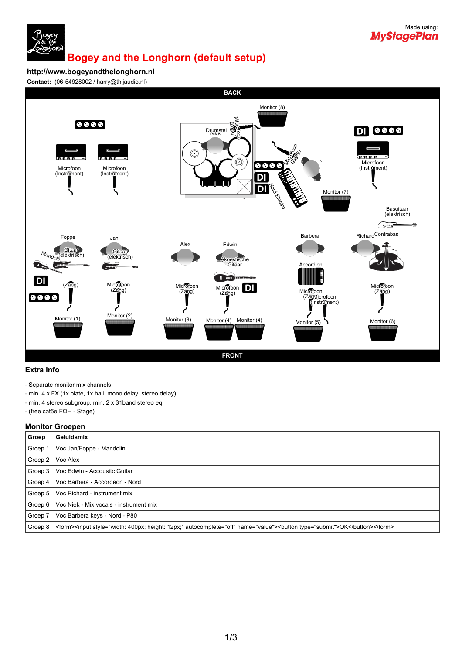

### **Bogey and the Longhorn (default setup)**

**http://www.bogeyandthelonghorn.nl**

**Contact:** (06-54928002 / harry@thijaudio.nl)



### **Extra Info**

- Separate monitor mix channels
- min. 4 x FX (1x plate, 1x hall, mono delay, stereo delay)
- min. 4 stereo subgroup, min. 2 x 31band stereo eq.
- (free cat5e FOH Stage)

#### **Monitor Groepen**

| Groep   | Geluidsmix                                                                                                                 |  |  |
|---------|----------------------------------------------------------------------------------------------------------------------------|--|--|
| Groep 1 | Voc Jan/Foppe - Mandolin                                                                                                   |  |  |
|         | Groep 2 Voc Alex                                                                                                           |  |  |
|         | Groep 3 Voc Edwin - Accousitc Guitar                                                                                       |  |  |
|         | Groep 4 Voc Barbera - Accordeon - Nord                                                                                     |  |  |
|         | Groep 5 Voc Richard - instrument mix                                                                                       |  |  |
|         | Groep 6 Voc Niek - Mix vocals - instrument mix                                                                             |  |  |
| Groep 7 | Voc Barbera keys - Nord - P80                                                                                              |  |  |
| Groep 8 | <form><input autocomplete="off" name="value" style="width: 400px; height: 12px;"/><button type="submit">OK</button></form> |  |  |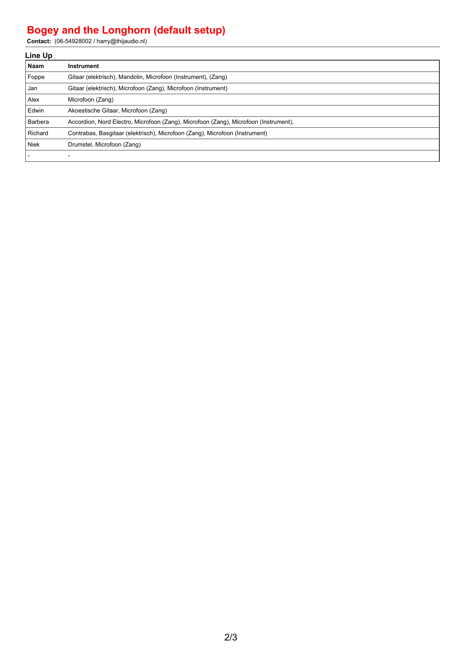# **Bogey and the Longhorn (default setup)**

**Contact:** (06-54928002 / harry@thijaudio.nl)

| Line Up   |                                                                                      |  |  |  |
|-----------|--------------------------------------------------------------------------------------|--|--|--|
| Naam      | Instrument                                                                           |  |  |  |
| Foppe     | Gitaar (elektrisch), Mandolin, Microfoon (Instrument), (Zang)                        |  |  |  |
| Jan       | Gitaar (elektrisch), Microfoon (Zang), Microfoon (Instrument)                        |  |  |  |
| l Alex    | Microfoon (Zang)                                                                     |  |  |  |
| Edwin     | Akoestische Gitaar, Microfoon (Zang)                                                 |  |  |  |
| l Barbera | Accordion, Nord Electro, Microfoon (Zang), Microfoon (Zang), Microfoon (Instrument), |  |  |  |
| Richard   | Contrabas, Basgitaar (elektrisch), Microfoon (Zang), Microfoon (Instrument)          |  |  |  |
| l Niek    | Drumstel, Microfoon (Zang)                                                           |  |  |  |
|           |                                                                                      |  |  |  |